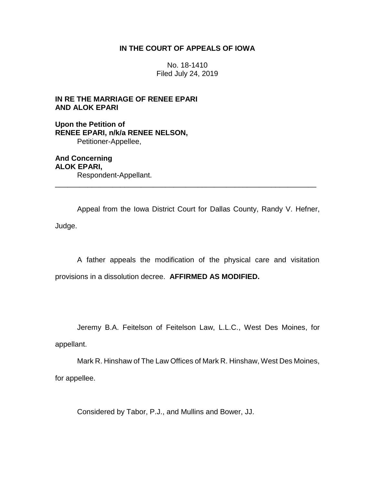## **IN THE COURT OF APPEALS OF IOWA**

No. 18-1410 Filed July 24, 2019

# **IN RE THE MARRIAGE OF RENEE EPARI AND ALOK EPARI**

**Upon the Petition of RENEE EPARI, n/k/a RENEE NELSON,** Petitioner-Appellee,

**And Concerning ALOK EPARI,** Respondent-Appellant. \_\_\_\_\_\_\_\_\_\_\_\_\_\_\_\_\_\_\_\_\_\_\_\_\_\_\_\_\_\_\_\_\_\_\_\_\_\_\_\_\_\_\_\_\_\_\_\_\_\_\_\_\_\_\_\_\_\_\_\_\_\_\_\_

Appeal from the Iowa District Court for Dallas County, Randy V. Hefner, Judge.

A father appeals the modification of the physical care and visitation provisions in a dissolution decree. **AFFIRMED AS MODIFIED.**

Jeremy B.A. Feitelson of Feitelson Law, L.L.C., West Des Moines, for appellant.

Mark R. Hinshaw of The Law Offices of Mark R. Hinshaw, West Des Moines, for appellee.

Considered by Tabor, P.J., and Mullins and Bower, JJ.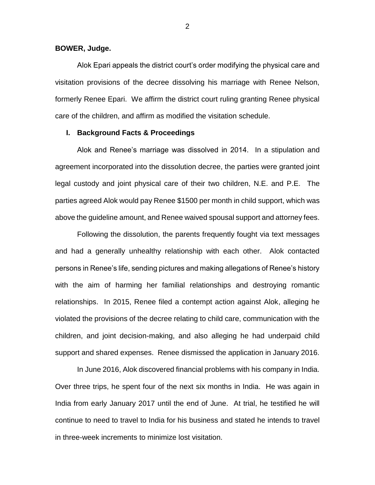**BOWER, Judge.**

Alok Epari appeals the district court's order modifying the physical care and visitation provisions of the decree dissolving his marriage with Renee Nelson, formerly Renee Epari. We affirm the district court ruling granting Renee physical care of the children, and affirm as modified the visitation schedule.

## **I. Background Facts & Proceedings**

Alok and Renee's marriage was dissolved in 2014. In a stipulation and agreement incorporated into the dissolution decree, the parties were granted joint legal custody and joint physical care of their two children, N.E. and P.E. The parties agreed Alok would pay Renee \$1500 per month in child support, which was above the guideline amount, and Renee waived spousal support and attorney fees.

Following the dissolution, the parents frequently fought via text messages and had a generally unhealthy relationship with each other. Alok contacted persons in Renee's life, sending pictures and making allegations of Renee's history with the aim of harming her familial relationships and destroying romantic relationships. In 2015, Renee filed a contempt action against Alok, alleging he violated the provisions of the decree relating to child care, communication with the children, and joint decision-making, and also alleging he had underpaid child support and shared expenses. Renee dismissed the application in January 2016.

In June 2016, Alok discovered financial problems with his company in India. Over three trips, he spent four of the next six months in India. He was again in India from early January 2017 until the end of June. At trial, he testified he will continue to need to travel to India for his business and stated he intends to travel in three-week increments to minimize lost visitation.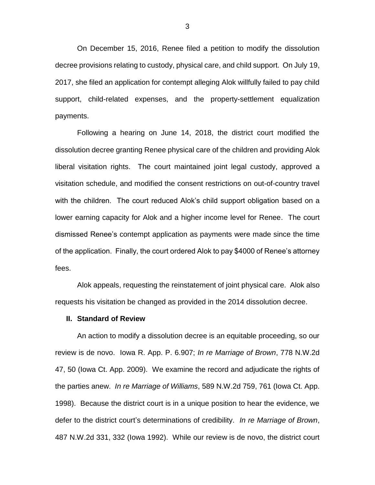On December 15, 2016, Renee filed a petition to modify the dissolution decree provisions relating to custody, physical care, and child support. On July 19, 2017, she filed an application for contempt alleging Alok willfully failed to pay child support, child-related expenses, and the property-settlement equalization payments.

Following a hearing on June 14, 2018, the district court modified the dissolution decree granting Renee physical care of the children and providing Alok liberal visitation rights. The court maintained joint legal custody, approved a visitation schedule, and modified the consent restrictions on out-of-country travel with the children. The court reduced Alok's child support obligation based on a lower earning capacity for Alok and a higher income level for Renee. The court dismissed Renee's contempt application as payments were made since the time of the application. Finally, the court ordered Alok to pay \$4000 of Renee's attorney fees.

Alok appeals, requesting the reinstatement of joint physical care. Alok also requests his visitation be changed as provided in the 2014 dissolution decree.

#### **II. Standard of Review**

An action to modify a dissolution decree is an equitable proceeding, so our review is de novo. Iowa R. App. P. 6.907; *In re Marriage of Brown*, 778 N.W.2d 47, 50 (Iowa Ct. App. 2009). We examine the record and adjudicate the rights of the parties anew. *In re Marriage of Williams*, 589 N.W.2d 759, 761 (Iowa Ct. App. 1998). Because the district court is in a unique position to hear the evidence, we defer to the district court's determinations of credibility. *In re Marriage of Brown*, 487 N.W.2d 331, 332 (Iowa 1992). While our review is de novo, the district court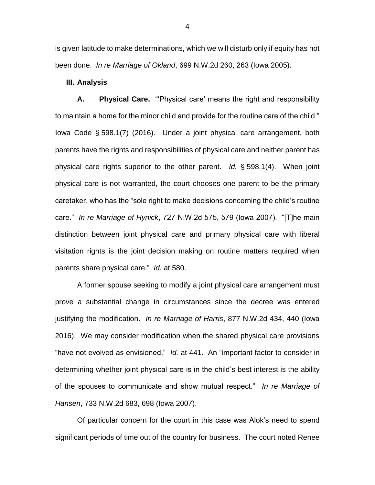is given latitude to make determinations, which we will disturb only if equity has not been done. *In re Marriage of Okland*, 699 N.W.2d 260, 263 (Iowa 2005).

## **III. Analysis**

**A. Physical Care.** "'Physical care' means the right and responsibility to maintain a home for the minor child and provide for the routine care of the child." Iowa Code § 598.1(7) (2016). Under a joint physical care arrangement, both parents have the rights and responsibilities of physical care and neither parent has physical care rights superior to the other parent. *Id.* § 598.1(4). When joint physical care is not warranted, the court chooses one parent to be the primary caretaker, who has the "sole right to make decisions concerning the child's routine care." *In re Marriage of Hynick*, 727 N.W.2d 575, 579 (Iowa 2007). "[T]he main distinction between joint physical care and primary physical care with liberal visitation rights is the joint decision making on routine matters required when parents share physical care." *Id.* at 580.

A former spouse seeking to modify a joint physical care arrangement must prove a substantial change in circumstances since the decree was entered justifying the modification. *In re Marriage of Harris*, 877 N.W.2d 434, 440 (Iowa 2016). We may consider modification when the shared physical care provisions "have not evolved as envisioned." *Id.* at 441. An "important factor to consider in determining whether joint physical care is in the child's best interest is the ability of the spouses to communicate and show mutual respect." *In re Marriage of Hansen*, 733 N.W.2d 683, 698 (Iowa 2007).

Of particular concern for the court in this case was Alok's need to spend significant periods of time out of the country for business. The court noted Renee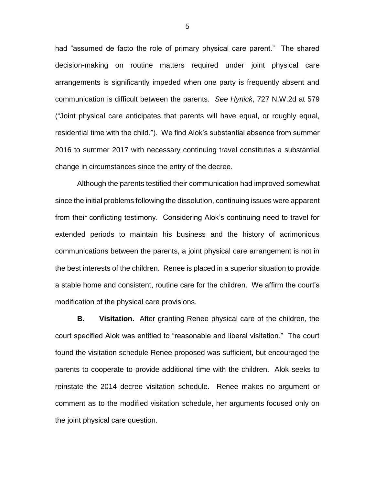had "assumed de facto the role of primary physical care parent." The shared decision-making on routine matters required under joint physical care arrangements is significantly impeded when one party is frequently absent and communication is difficult between the parents. *See Hynick*, 727 N.W.2d at 579 ("Joint physical care anticipates that parents will have equal, or roughly equal, residential time with the child."). We find Alok's substantial absence from summer 2016 to summer 2017 with necessary continuing travel constitutes a substantial change in circumstances since the entry of the decree.

Although the parents testified their communication had improved somewhat since the initial problems following the dissolution, continuing issues were apparent from their conflicting testimony. Considering Alok's continuing need to travel for extended periods to maintain his business and the history of acrimonious communications between the parents, a joint physical care arrangement is not in the best interests of the children. Renee is placed in a superior situation to provide a stable home and consistent, routine care for the children. We affirm the court's modification of the physical care provisions.

**B. Visitation.** After granting Renee physical care of the children, the court specified Alok was entitled to "reasonable and liberal visitation." The court found the visitation schedule Renee proposed was sufficient, but encouraged the parents to cooperate to provide additional time with the children. Alok seeks to reinstate the 2014 decree visitation schedule. Renee makes no argument or comment as to the modified visitation schedule, her arguments focused only on the joint physical care question.

5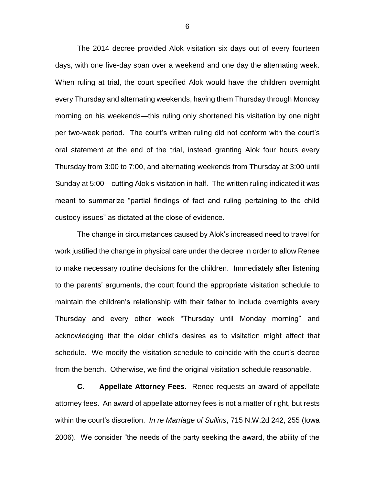The 2014 decree provided Alok visitation six days out of every fourteen days, with one five-day span over a weekend and one day the alternating week. When ruling at trial, the court specified Alok would have the children overnight every Thursday and alternating weekends, having them Thursday through Monday morning on his weekends—this ruling only shortened his visitation by one night per two-week period. The court's written ruling did not conform with the court's oral statement at the end of the trial, instead granting Alok four hours every Thursday from 3:00 to 7:00, and alternating weekends from Thursday at 3:00 until Sunday at 5:00—cutting Alok's visitation in half. The written ruling indicated it was meant to summarize "partial findings of fact and ruling pertaining to the child custody issues" as dictated at the close of evidence.

The change in circumstances caused by Alok's increased need to travel for work justified the change in physical care under the decree in order to allow Renee to make necessary routine decisions for the children. Immediately after listening to the parents' arguments, the court found the appropriate visitation schedule to maintain the children's relationship with their father to include overnights every Thursday and every other week "Thursday until Monday morning" and acknowledging that the older child's desires as to visitation might affect that schedule. We modify the visitation schedule to coincide with the court's decree from the bench. Otherwise, we find the original visitation schedule reasonable.

**C. Appellate Attorney Fees.** Renee requests an award of appellate attorney fees. An award of appellate attorney fees is not a matter of right, but rests within the court's discretion. *In re Marriage of Sullins*, 715 N.W.2d 242, 255 (Iowa 2006). We consider "the needs of the party seeking the award, the ability of the